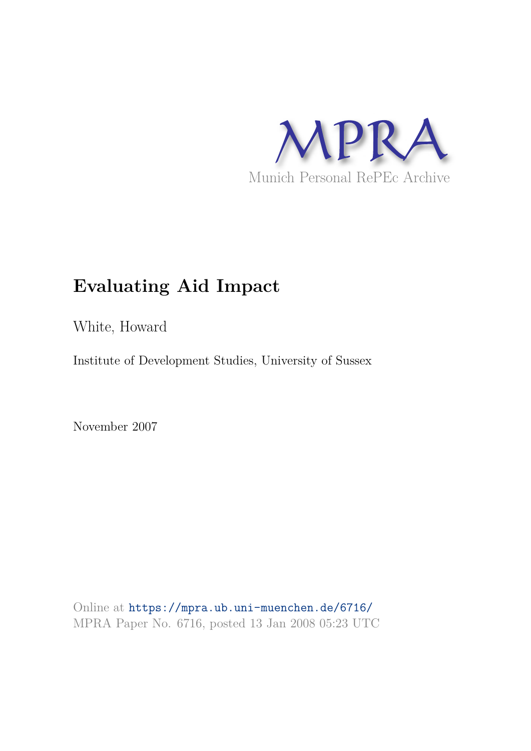

# **Evaluating Aid Impact**

White, Howard

Institute of Development Studies, University of Sussex

November 2007

Online at https://mpra.ub.uni-muenchen.de/6716/ MPRA Paper No. 6716, posted 13 Jan 2008 05:23 UTC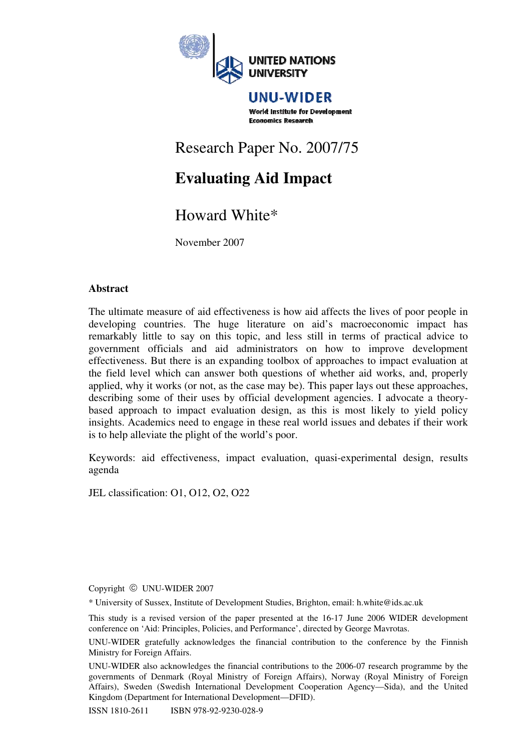

#### UNU-WIDER **World Institute for Development Economics Research**

## Research Paper No. 2007/75

## **Evaluating Aid Impact**

Howard White\*

November 2007

## **Abstract**

The ultimate measure of aid effectiveness is how aid affects the lives of poor people in developing countries. The huge literature on aid's macroeconomic impact has remarkably little to say on this topic, and less still in terms of practical advice to government officials and aid administrators on how to improve development effectiveness. But there is an expanding toolbox of approaches to impact evaluation at the field level which can answer both questions of whether aid works, and, properly applied, why it works (or not, as the case may be). This paper lays out these approaches, describing some of their uses by official development agencies. I advocate a theorybased approach to impact evaluation design, as this is most likely to yield policy insights. Academics need to engage in these real world issues and debates if their work is to help alleviate the plight of the world's poor.

Keywords: aid effectiveness, impact evaluation, quasi-experimental design, results agenda

JEL classification: O1, O12, O2, O22

Copyright © UNU-WIDER 2007

\* University of Sussex, Institute of Development Studies, Brighton, email: h.white@ids.ac.uk

This study is a revised version of the paper presented at the 16-17 June 2006 WIDER development conference on 'Aid: Principles, Policies, and Performance', directed by George Mavrotas.

UNU-WIDER gratefully acknowledges the financial contribution to the conference by the Finnish Ministry for Foreign Affairs.

UNU-WIDER also acknowledges the financial contributions to the 2006-07 research programme by the governments of Denmark (Royal Ministry of Foreign Affairs), Norway (Royal Ministry of Foreign Affairs), Sweden (Swedish International Development Cooperation Agency—Sida), and the United Kingdom (Department for International Development—DFID).

ISSN 1810-2611 ISBN 978-92-9230-028-9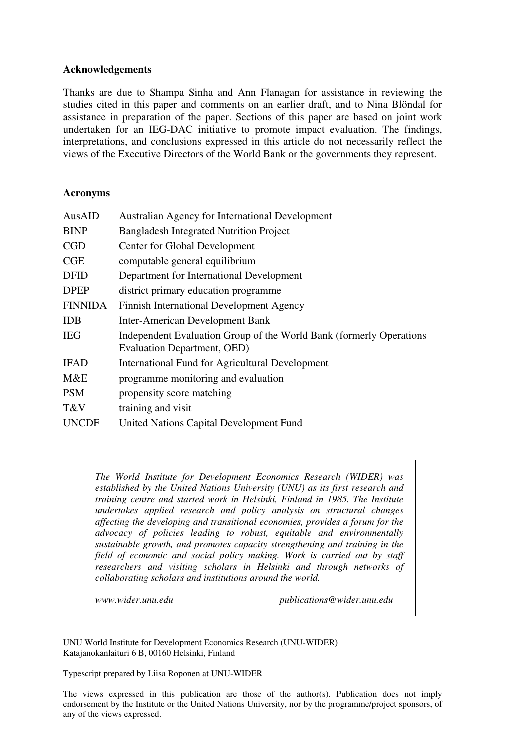#### **Acknowledgements**

Thanks are due to Shampa Sinha and Ann Flanagan for assistance in reviewing the studies cited in this paper and comments on an earlier draft, and to Nina Blöndal for assistance in preparation of the paper. Sections of this paper are based on joint work undertaken for an IEG-DAC initiative to promote impact evaluation. The findings, interpretations, and conclusions expressed in this article do not necessarily reflect the views of the Executive Directors of the World Bank or the governments they represent.

## **Acronyms**

| AusAID         | <b>Australian Agency for International Development</b>                                             |  |
|----------------|----------------------------------------------------------------------------------------------------|--|
| <b>BINP</b>    | <b>Bangladesh Integrated Nutrition Project</b>                                                     |  |
| <b>CGD</b>     | <b>Center for Global Development</b>                                                               |  |
| CGE            | computable general equilibrium                                                                     |  |
| <b>DFID</b>    | Department for International Development                                                           |  |
| <b>DPEP</b>    | district primary education programme.                                                              |  |
| <b>FINNIDA</b> | Finnish International Development Agency                                                           |  |
| <b>IDB</b>     | <b>Inter-American Development Bank</b>                                                             |  |
| <b>IEG</b>     | Independent Evaluation Group of the World Bank (formerly Operations<br>Evaluation Department, OED) |  |
| <b>IFAD</b>    | International Fund for Agricultural Development                                                    |  |
| M&E            | programme monitoring and evaluation                                                                |  |
| <b>PSM</b>     | propensity score matching                                                                          |  |
| T&V            | training and visit                                                                                 |  |
| <b>UNCDF</b>   | <b>United Nations Capital Development Fund</b>                                                     |  |

*The World Institute for Development Economics Research (WIDER) was established by the United Nations University (UNU) as its first research and training centre and started work in Helsinki, Finland in 1985. The Institute undertakes applied research and policy analysis on structural changes affecting the developing and transitional economies, provides a forum for the advocacy of policies leading to robust, equitable and environmentally sustainable growth, and promotes capacity strengthening and training in the field of economic and social policy making. Work is carried out by staff researchers and visiting scholars in Helsinki and through networks of collaborating scholars and institutions around the world.* 

*www.wider.unu.edu publications@wider.unu.edu* 

UNU World Institute for Development Economics Research (UNU-WIDER) Katajanokanlaituri 6 B, 00160 Helsinki, Finland

Typescript prepared by Liisa Roponen at UNU-WIDER

The views expressed in this publication are those of the author(s). Publication does not imply endorsement by the Institute or the United Nations University, nor by the programme/project sponsors, of any of the views expressed.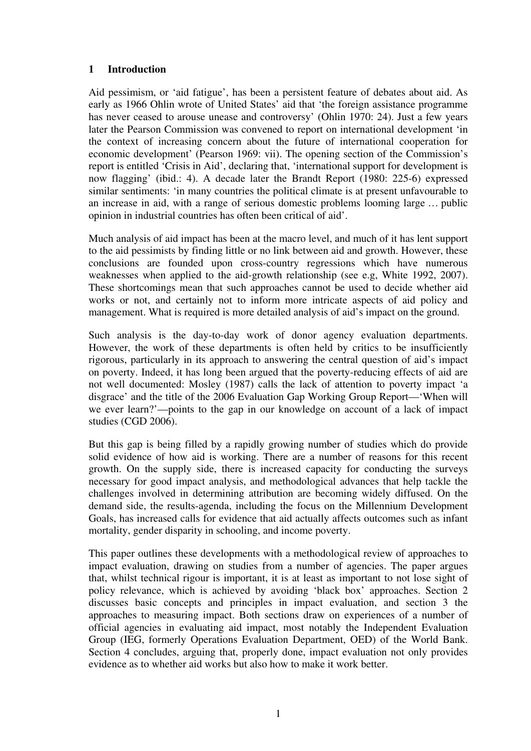## **1 Introduction**

Aid pessimism, or 'aid fatigue', has been a persistent feature of debates about aid. As early as 1966 Ohlin wrote of United States' aid that 'the foreign assistance programme has never ceased to arouse unease and controversy' (Ohlin 1970: 24). Just a few years later the Pearson Commission was convened to report on international development 'in the context of increasing concern about the future of international cooperation for economic development' (Pearson 1969: vii). The opening section of the Commission's report is entitled 'Crisis in Aid', declaring that, 'international support for development is now flagging' (ibid.: 4). A decade later the Brandt Report (1980: 225-6) expressed similar sentiments: 'in many countries the political climate is at present unfavourable to an increase in aid, with a range of serious domestic problems looming large … public opinion in industrial countries has often been critical of aid'.

Much analysis of aid impact has been at the macro level, and much of it has lent support to the aid pessimists by finding little or no link between aid and growth. However, these conclusions are founded upon cross-country regressions which have numerous weaknesses when applied to the aid-growth relationship (see e.g, White 1992, 2007). These shortcomings mean that such approaches cannot be used to decide whether aid works or not, and certainly not to inform more intricate aspects of aid policy and management. What is required is more detailed analysis of aid's impact on the ground.

Such analysis is the day-to-day work of donor agency evaluation departments. However, the work of these departments is often held by critics to be insufficiently rigorous, particularly in its approach to answering the central question of aid's impact on poverty. Indeed, it has long been argued that the poverty-reducing effects of aid are not well documented: Mosley (1987) calls the lack of attention to poverty impact 'a disgrace' and the title of the 2006 Evaluation Gap Working Group Report—'When will we ever learn?'—points to the gap in our knowledge on account of a lack of impact studies (CGD 2006).

But this gap is being filled by a rapidly growing number of studies which do provide solid evidence of how aid is working. There are a number of reasons for this recent growth. On the supply side, there is increased capacity for conducting the surveys necessary for good impact analysis, and methodological advances that help tackle the challenges involved in determining attribution are becoming widely diffused. On the demand side, the results-agenda, including the focus on the Millennium Development Goals, has increased calls for evidence that aid actually affects outcomes such as infant mortality, gender disparity in schooling, and income poverty.

This paper outlines these developments with a methodological review of approaches to impact evaluation, drawing on studies from a number of agencies. The paper argues that, whilst technical rigour is important, it is at least as important to not lose sight of policy relevance, which is achieved by avoiding 'black box' approaches. Section 2 discusses basic concepts and principles in impact evaluation, and section 3 the approaches to measuring impact. Both sections draw on experiences of a number of official agencies in evaluating aid impact, most notably the Independent Evaluation Group (IEG, formerly Operations Evaluation Department, OED) of the World Bank. Section 4 concludes, arguing that, properly done, impact evaluation not only provides evidence as to whether aid works but also how to make it work better.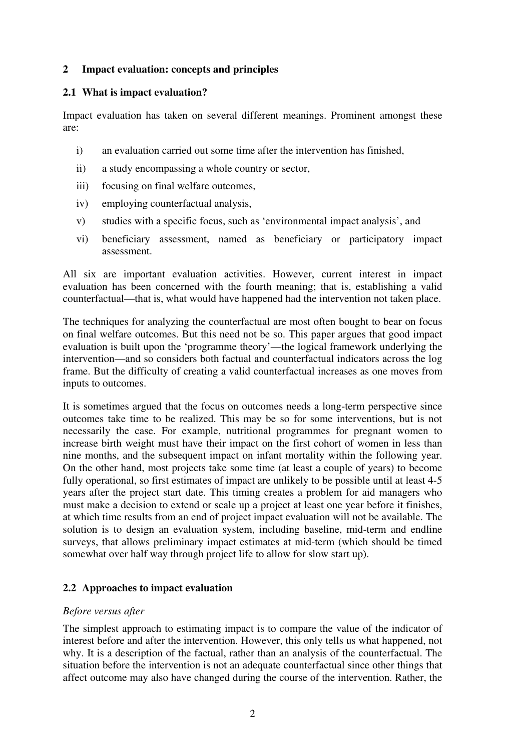## **2 Impact evaluation: concepts and principles**

## **2.1 What is impact evaluation?**

Impact evaluation has taken on several different meanings. Prominent amongst these are:

- i) an evaluation carried out some time after the intervention has finished,
- ii) a study encompassing a whole country or sector,
- iii) focusing on final welfare outcomes,
- iv) employing counterfactual analysis,
- v) studies with a specific focus, such as 'environmental impact analysis', and
- vi) beneficiary assessment, named as beneficiary or participatory impact assessment.

All six are important evaluation activities. However, current interest in impact evaluation has been concerned with the fourth meaning; that is, establishing a valid counterfactual—that is, what would have happened had the intervention not taken place.

The techniques for analyzing the counterfactual are most often bought to bear on focus on final welfare outcomes. But this need not be so. This paper argues that good impact evaluation is built upon the 'programme theory'—the logical framework underlying the intervention—and so considers both factual and counterfactual indicators across the log frame. But the difficulty of creating a valid counterfactual increases as one moves from inputs to outcomes.

It is sometimes argued that the focus on outcomes needs a long-term perspective since outcomes take time to be realized. This may be so for some interventions, but is not necessarily the case. For example, nutritional programmes for pregnant women to increase birth weight must have their impact on the first cohort of women in less than nine months, and the subsequent impact on infant mortality within the following year. On the other hand, most projects take some time (at least a couple of years) to become fully operational, so first estimates of impact are unlikely to be possible until at least 4-5 years after the project start date. This timing creates a problem for aid managers who must make a decision to extend or scale up a project at least one year before it finishes, at which time results from an end of project impact evaluation will not be available. The solution is to design an evaluation system, including baseline, mid-term and endline surveys, that allows preliminary impact estimates at mid-term (which should be timed somewhat over half way through project life to allow for slow start up).

## **2.2 Approaches to impact evaluation**

#### *Before versus after*

The simplest approach to estimating impact is to compare the value of the indicator of interest before and after the intervention. However, this only tells us what happened, not why. It is a description of the factual, rather than an analysis of the counterfactual. The situation before the intervention is not an adequate counterfactual since other things that affect outcome may also have changed during the course of the intervention. Rather, the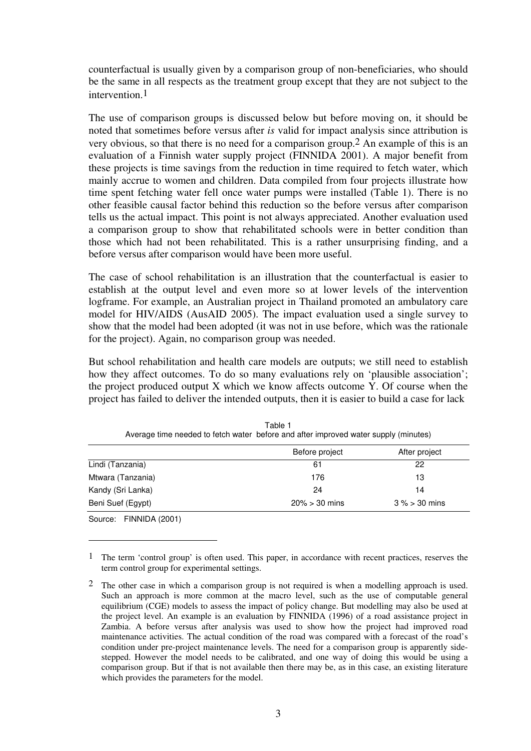counterfactual is usually given by a comparison group of non-beneficiaries, who should be the same in all respects as the treatment group except that they are not subject to the intervention.1

The use of comparison groups is discussed below but before moving on, it should be noted that sometimes before versus after *is* valid for impact analysis since attribution is very obvious, so that there is no need for a comparison group.2 An example of this is an evaluation of a Finnish water supply project (FINNIDA 2001). A major benefit from these projects is time savings from the reduction in time required to fetch water, which mainly accrue to women and children. Data compiled from four projects illustrate how time spent fetching water fell once water pumps were installed (Table 1). There is no other feasible causal factor behind this reduction so the before versus after comparison tells us the actual impact. This point is not always appreciated. Another evaluation used a comparison group to show that rehabilitated schools were in better condition than those which had not been rehabilitated. This is a rather unsurprising finding, and a before versus after comparison would have been more useful.

The case of school rehabilitation is an illustration that the counterfactual is easier to establish at the output level and even more so at lower levels of the intervention logframe. For example, an Australian project in Thailand promoted an ambulatory care model for HIV/AIDS (AusAID 2005). The impact evaluation used a single survey to show that the model had been adopted (it was not in use before, which was the rationale for the project). Again, no comparison group was needed.

But school rehabilitation and health care models are outputs; we still need to establish how they affect outcomes. To do so many evaluations rely on 'plausible association'; the project produced output X which we know affects outcome Y. Of course when the project has failed to deliver the intended outputs, then it is easier to build a case for lack

|                   | Before project   | After project   |
|-------------------|------------------|-----------------|
| Lindi (Tanzania)  | 61               | 22              |
| Mtwara (Tanzania) | 176              | 13              |
| Kandy (Sri Lanka) | 24               | 14              |
| Beni Suef (Egypt) | $20\% > 30$ mins | $3\% > 30$ mins |

| Table 1                                                                             |
|-------------------------------------------------------------------------------------|
| Average time needed to fetch water before and after improved water supply (minutes) |

Source: FINNIDA (2001)

-

<sup>1</sup> The term 'control group' is often used. This paper, in accordance with recent practices, reserves the term control group for experimental settings.

<sup>2</sup> The other case in which a comparison group is not required is when a modelling approach is used. Such an approach is more common at the macro level, such as the use of computable general equilibrium (CGE) models to assess the impact of policy change. But modelling may also be used at the project level. An example is an evaluation by FINNIDA (1996) of a road assistance project in Zambia. A before versus after analysis was used to show how the project had improved road maintenance activities. The actual condition of the road was compared with a forecast of the road's condition under pre-project maintenance levels. The need for a comparison group is apparently sidestepped. However the model needs to be calibrated, and one way of doing this would be using a comparison group. But if that is not available then there may be, as in this case, an existing literature which provides the parameters for the model.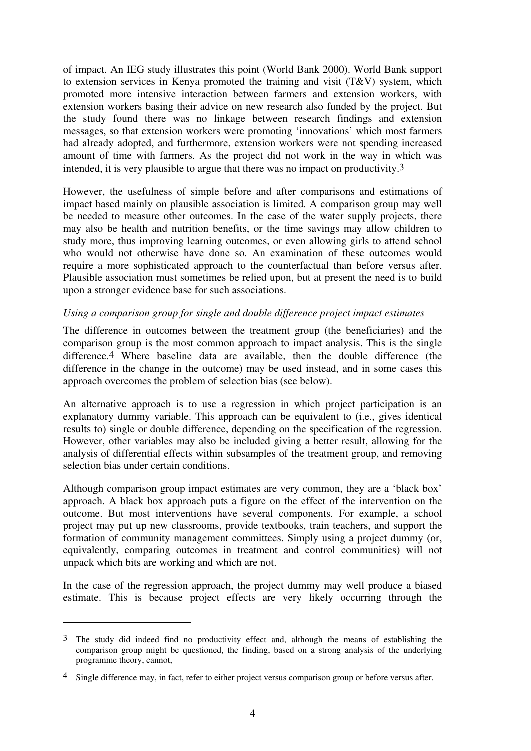of impact. An IEG study illustrates this point (World Bank 2000). World Bank support to extension services in Kenya promoted the training and visit (T&V) system, which promoted more intensive interaction between farmers and extension workers, with extension workers basing their advice on new research also funded by the project. But the study found there was no linkage between research findings and extension messages, so that extension workers were promoting 'innovations' which most farmers had already adopted, and furthermore, extension workers were not spending increased amount of time with farmers. As the project did not work in the way in which was intended, it is very plausible to argue that there was no impact on productivity.3

However, the usefulness of simple before and after comparisons and estimations of impact based mainly on plausible association is limited. A comparison group may well be needed to measure other outcomes. In the case of the water supply projects, there may also be health and nutrition benefits, or the time savings may allow children to study more, thus improving learning outcomes, or even allowing girls to attend school who would not otherwise have done so. An examination of these outcomes would require a more sophisticated approach to the counterfactual than before versus after. Plausible association must sometimes be relied upon, but at present the need is to build upon a stronger evidence base for such associations.

#### *Using a comparison group for single and double difference project impact estimates*

The difference in outcomes between the treatment group (the beneficiaries) and the comparison group is the most common approach to impact analysis. This is the single difference.4 Where baseline data are available, then the double difference (the difference in the change in the outcome) may be used instead, and in some cases this approach overcomes the problem of selection bias (see below).

An alternative approach is to use a regression in which project participation is an explanatory dummy variable. This approach can be equivalent to (i.e., gives identical results to) single or double difference, depending on the specification of the regression. However, other variables may also be included giving a better result, allowing for the analysis of differential effects within subsamples of the treatment group, and removing selection bias under certain conditions.

Although comparison group impact estimates are very common, they are a 'black box' approach. A black box approach puts a figure on the effect of the intervention on the outcome. But most interventions have several components. For example, a school project may put up new classrooms, provide textbooks, train teachers, and support the formation of community management committees. Simply using a project dummy (or, equivalently, comparing outcomes in treatment and control communities) will not unpack which bits are working and which are not.

In the case of the regression approach, the project dummy may well produce a biased estimate. This is because project effects are very likely occurring through the

 $\overline{a}$ 

<sup>3</sup> The study did indeed find no productivity effect and, although the means of establishing the comparison group might be questioned, the finding, based on a strong analysis of the underlying programme theory, cannot,

<sup>4</sup> Single difference may, in fact, refer to either project versus comparison group or before versus after.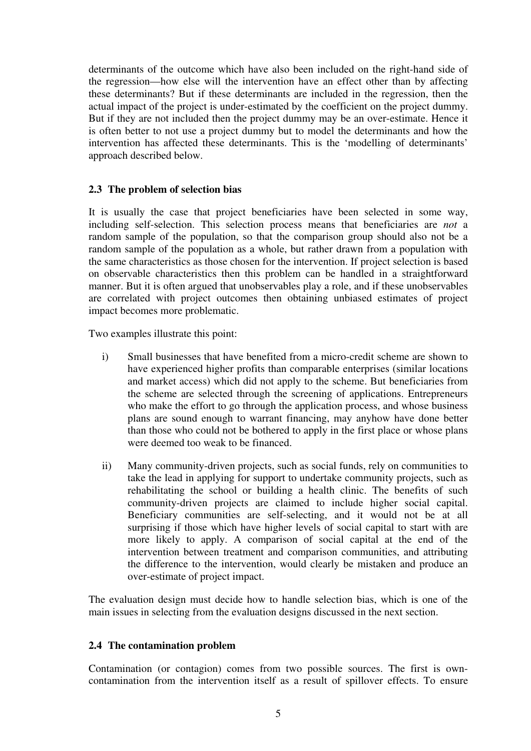determinants of the outcome which have also been included on the right-hand side of the regression—how else will the intervention have an effect other than by affecting these determinants? But if these determinants are included in the regression, then the actual impact of the project is under-estimated by the coefficient on the project dummy. But if they are not included then the project dummy may be an over-estimate. Hence it is often better to not use a project dummy but to model the determinants and how the intervention has affected these determinants. This is the 'modelling of determinants' approach described below.

## **2.3 The problem of selection bias**

It is usually the case that project beneficiaries have been selected in some way, including self-selection. This selection process means that beneficiaries are *not* a random sample of the population, so that the comparison group should also not be a random sample of the population as a whole, but rather drawn from a population with the same characteristics as those chosen for the intervention. If project selection is based on observable characteristics then this problem can be handled in a straightforward manner. But it is often argued that unobservables play a role, and if these unobservables are correlated with project outcomes then obtaining unbiased estimates of project impact becomes more problematic.

Two examples illustrate this point:

- i) Small businesses that have benefited from a micro-credit scheme are shown to have experienced higher profits than comparable enterprises (similar locations and market access) which did not apply to the scheme. But beneficiaries from the scheme are selected through the screening of applications. Entrepreneurs who make the effort to go through the application process, and whose business plans are sound enough to warrant financing, may anyhow have done better than those who could not be bothered to apply in the first place or whose plans were deemed too weak to be financed.
- ii) Many community-driven projects, such as social funds, rely on communities to take the lead in applying for support to undertake community projects, such as rehabilitating the school or building a health clinic. The benefits of such community-driven projects are claimed to include higher social capital. Beneficiary communities are self-selecting, and it would not be at all surprising if those which have higher levels of social capital to start with are more likely to apply. A comparison of social capital at the end of the intervention between treatment and comparison communities, and attributing the difference to the intervention, would clearly be mistaken and produce an over-estimate of project impact.

The evaluation design must decide how to handle selection bias, which is one of the main issues in selecting from the evaluation designs discussed in the next section.

#### **2.4 The contamination problem**

Contamination (or contagion) comes from two possible sources. The first is owncontamination from the intervention itself as a result of spillover effects. To ensure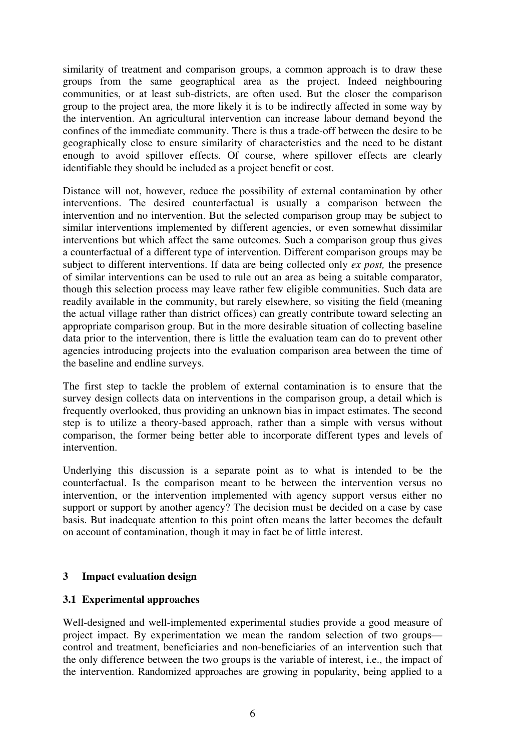similarity of treatment and comparison groups, a common approach is to draw these groups from the same geographical area as the project. Indeed neighbouring communities, or at least sub-districts, are often used. But the closer the comparison group to the project area, the more likely it is to be indirectly affected in some way by the intervention. An agricultural intervention can increase labour demand beyond the confines of the immediate community. There is thus a trade-off between the desire to be geographically close to ensure similarity of characteristics and the need to be distant enough to avoid spillover effects. Of course, where spillover effects are clearly identifiable they should be included as a project benefit or cost.

Distance will not, however, reduce the possibility of external contamination by other interventions. The desired counterfactual is usually a comparison between the intervention and no intervention. But the selected comparison group may be subject to similar interventions implemented by different agencies, or even somewhat dissimilar interventions but which affect the same outcomes. Such a comparison group thus gives a counterfactual of a different type of intervention. Different comparison groups may be subject to different interventions. If data are being collected only *ex post,* the presence of similar interventions can be used to rule out an area as being a suitable comparator, though this selection process may leave rather few eligible communities. Such data are readily available in the community, but rarely elsewhere, so visiting the field (meaning the actual village rather than district offices) can greatly contribute toward selecting an appropriate comparison group. But in the more desirable situation of collecting baseline data prior to the intervention, there is little the evaluation team can do to prevent other agencies introducing projects into the evaluation comparison area between the time of the baseline and endline surveys.

The first step to tackle the problem of external contamination is to ensure that the survey design collects data on interventions in the comparison group, a detail which is frequently overlooked, thus providing an unknown bias in impact estimates. The second step is to utilize a theory-based approach, rather than a simple with versus without comparison, the former being better able to incorporate different types and levels of intervention.

Underlying this discussion is a separate point as to what is intended to be the counterfactual. Is the comparison meant to be between the intervention versus no intervention, or the intervention implemented with agency support versus either no support or support by another agency? The decision must be decided on a case by case basis. But inadequate attention to this point often means the latter becomes the default on account of contamination, though it may in fact be of little interest.

## **3 Impact evaluation design**

## **3.1 Experimental approaches**

Well-designed and well-implemented experimental studies provide a good measure of project impact. By experimentation we mean the random selection of two groups control and treatment, beneficiaries and non-beneficiaries of an intervention such that the only difference between the two groups is the variable of interest, i.e., the impact of the intervention. Randomized approaches are growing in popularity, being applied to a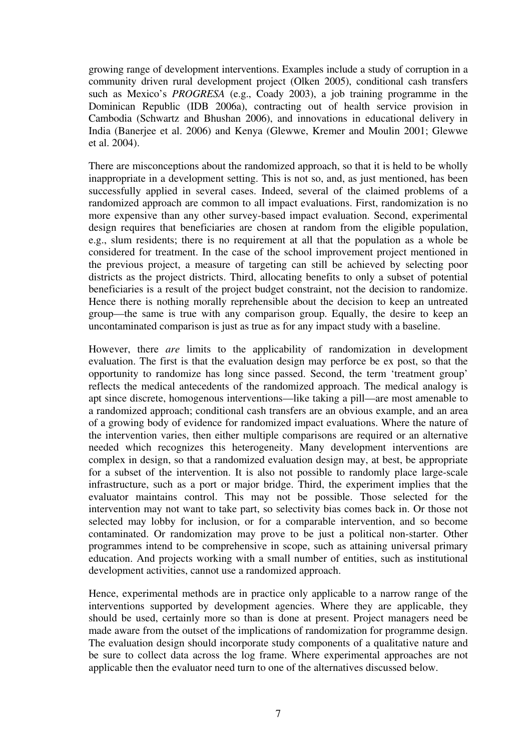growing range of development interventions. Examples include a study of corruption in a community driven rural development project (Olken 2005), conditional cash transfers such as Mexico's *PROGRESA* (e.g., Coady 2003), a job training programme in the Dominican Republic (IDB 2006a), contracting out of health service provision in Cambodia (Schwartz and Bhushan 2006), and innovations in educational delivery in India (Banerjee et al. 2006) and Kenya (Glewwe, Kremer and Moulin 2001; Glewwe et al. 2004).

There are misconceptions about the randomized approach, so that it is held to be wholly inappropriate in a development setting. This is not so, and, as just mentioned, has been successfully applied in several cases. Indeed, several of the claimed problems of a randomized approach are common to all impact evaluations. First, randomization is no more expensive than any other survey-based impact evaluation. Second, experimental design requires that beneficiaries are chosen at random from the eligible population, e.g., slum residents; there is no requirement at all that the population as a whole be considered for treatment. In the case of the school improvement project mentioned in the previous project, a measure of targeting can still be achieved by selecting poor districts as the project districts. Third, allocating benefits to only a subset of potential beneficiaries is a result of the project budget constraint, not the decision to randomize. Hence there is nothing morally reprehensible about the decision to keep an untreated group—the same is true with any comparison group. Equally, the desire to keep an uncontaminated comparison is just as true as for any impact study with a baseline.

However, there *are* limits to the applicability of randomization in development evaluation. The first is that the evaluation design may perforce be ex post, so that the opportunity to randomize has long since passed. Second, the term 'treatment group' reflects the medical antecedents of the randomized approach. The medical analogy is apt since discrete, homogenous interventions—like taking a pill—are most amenable to a randomized approach; conditional cash transfers are an obvious example, and an area of a growing body of evidence for randomized impact evaluations. Where the nature of the intervention varies, then either multiple comparisons are required or an alternative needed which recognizes this heterogeneity. Many development interventions are complex in design, so that a randomized evaluation design may, at best, be appropriate for a subset of the intervention. It is also not possible to randomly place large-scale infrastructure, such as a port or major bridge. Third, the experiment implies that the evaluator maintains control. This may not be possible. Those selected for the intervention may not want to take part, so selectivity bias comes back in. Or those not selected may lobby for inclusion, or for a comparable intervention, and so become contaminated. Or randomization may prove to be just a political non-starter. Other programmes intend to be comprehensive in scope, such as attaining universal primary education. And projects working with a small number of entities, such as institutional development activities, cannot use a randomized approach.

Hence, experimental methods are in practice only applicable to a narrow range of the interventions supported by development agencies. Where they are applicable, they should be used, certainly more so than is done at present. Project managers need be made aware from the outset of the implications of randomization for programme design. The evaluation design should incorporate study components of a qualitative nature and be sure to collect data across the log frame. Where experimental approaches are not applicable then the evaluator need turn to one of the alternatives discussed below.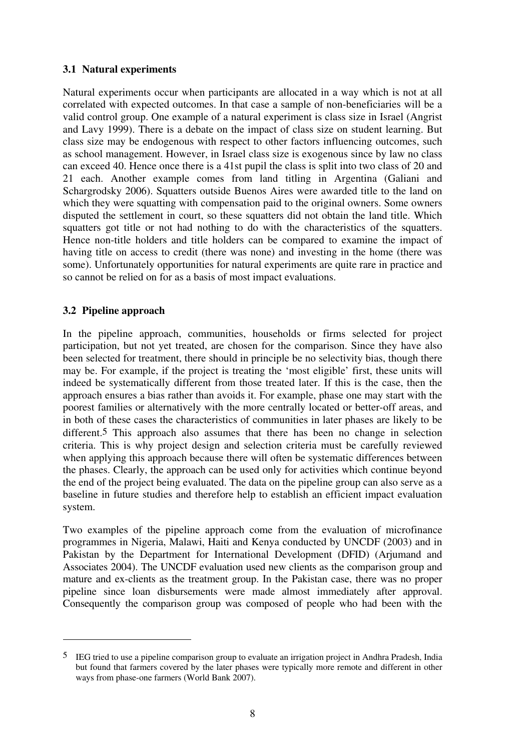## **3.1 Natural experiments**

Natural experiments occur when participants are allocated in a way which is not at all correlated with expected outcomes. In that case a sample of non-beneficiaries will be a valid control group. One example of a natural experiment is class size in Israel (Angrist and Lavy 1999). There is a debate on the impact of class size on student learning. But class size may be endogenous with respect to other factors influencing outcomes, such as school management. However, in Israel class size is exogenous since by law no class can exceed 40. Hence once there is a 41st pupil the class is split into two class of 20 and 21 each. Another example comes from land titling in Argentina (Galiani and Schargrodsky 2006). Squatters outside Buenos Aires were awarded title to the land on which they were squatting with compensation paid to the original owners. Some owners disputed the settlement in court, so these squatters did not obtain the land title. Which squatters got title or not had nothing to do with the characteristics of the squatters. Hence non-title holders and title holders can be compared to examine the impact of having title on access to credit (there was none) and investing in the home (there was some). Unfortunately opportunities for natural experiments are quite rare in practice and so cannot be relied on for as a basis of most impact evaluations.

## **3.2 Pipeline approach**

 $\overline{a}$ 

In the pipeline approach, communities, households or firms selected for project participation, but not yet treated, are chosen for the comparison. Since they have also been selected for treatment, there should in principle be no selectivity bias, though there may be. For example, if the project is treating the 'most eligible' first, these units will indeed be systematically different from those treated later. If this is the case, then the approach ensures a bias rather than avoids it. For example, phase one may start with the poorest families or alternatively with the more centrally located or better-off areas, and in both of these cases the characteristics of communities in later phases are likely to be different.<sup>5</sup> This approach also assumes that there has been no change in selection criteria. This is why project design and selection criteria must be carefully reviewed when applying this approach because there will often be systematic differences between the phases. Clearly, the approach can be used only for activities which continue beyond the end of the project being evaluated. The data on the pipeline group can also serve as a baseline in future studies and therefore help to establish an efficient impact evaluation system.

Two examples of the pipeline approach come from the evaluation of microfinance programmes in Nigeria, Malawi, Haiti and Kenya conducted by UNCDF (2003) and in Pakistan by the Department for International Development (DFID) (Arjumand and Associates 2004). The UNCDF evaluation used new clients as the comparison group and mature and ex-clients as the treatment group. In the Pakistan case, there was no proper pipeline since loan disbursements were made almost immediately after approval. Consequently the comparison group was composed of people who had been with the

<sup>5</sup> IEG tried to use a pipeline comparison group to evaluate an irrigation project in Andhra Pradesh, India but found that farmers covered by the later phases were typically more remote and different in other ways from phase-one farmers (World Bank 2007).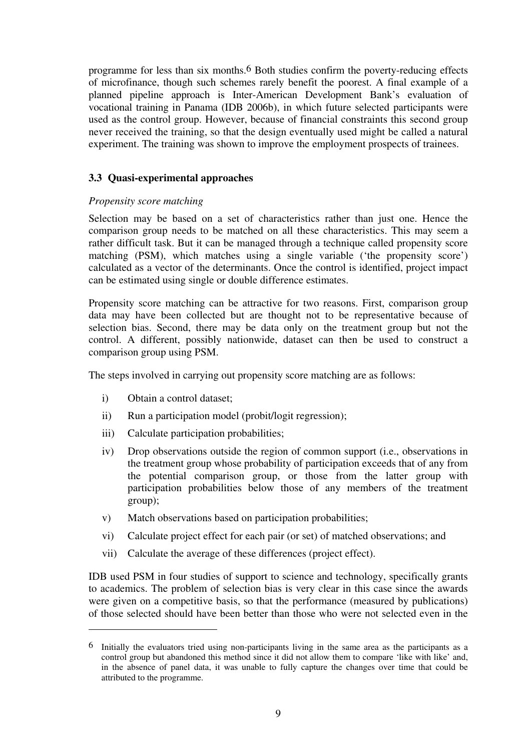programme for less than six months.6 Both studies confirm the poverty-reducing effects of microfinance, though such schemes rarely benefit the poorest. A final example of a planned pipeline approach is Inter-American Development Bank's evaluation of vocational training in Panama (IDB 2006b), in which future selected participants were used as the control group. However, because of financial constraints this second group never received the training, so that the design eventually used might be called a natural experiment. The training was shown to improve the employment prospects of trainees.

## **3.3 Quasi-experimental approaches**

#### *Propensity score matching*

Selection may be based on a set of characteristics rather than just one. Hence the comparison group needs to be matched on all these characteristics. This may seem a rather difficult task. But it can be managed through a technique called propensity score matching (PSM), which matches using a single variable ('the propensity score') calculated as a vector of the determinants. Once the control is identified, project impact can be estimated using single or double difference estimates.

Propensity score matching can be attractive for two reasons. First, comparison group data may have been collected but are thought not to be representative because of selection bias. Second, there may be data only on the treatment group but not the control. A different, possibly nationwide, dataset can then be used to construct a comparison group using PSM.

The steps involved in carrying out propensity score matching are as follows:

i) Obtain a control dataset;

-

- ii) Run a participation model (probit/logit regression);
- iii) Calculate participation probabilities;
- iv) Drop observations outside the region of common support (i.e., observations in the treatment group whose probability of participation exceeds that of any from the potential comparison group, or those from the latter group with participation probabilities below those of any members of the treatment group);
- v) Match observations based on participation probabilities;
- vi) Calculate project effect for each pair (or set) of matched observations; and
- vii) Calculate the average of these differences (project effect).

IDB used PSM in four studies of support to science and technology, specifically grants to academics. The problem of selection bias is very clear in this case since the awards were given on a competitive basis, so that the performance (measured by publications) of those selected should have been better than those who were not selected even in the

<sup>6</sup> Initially the evaluators tried using non-participants living in the same area as the participants as a control group but abandoned this method since it did not allow them to compare 'like with like' and, in the absence of panel data, it was unable to fully capture the changes over time that could be attributed to the programme.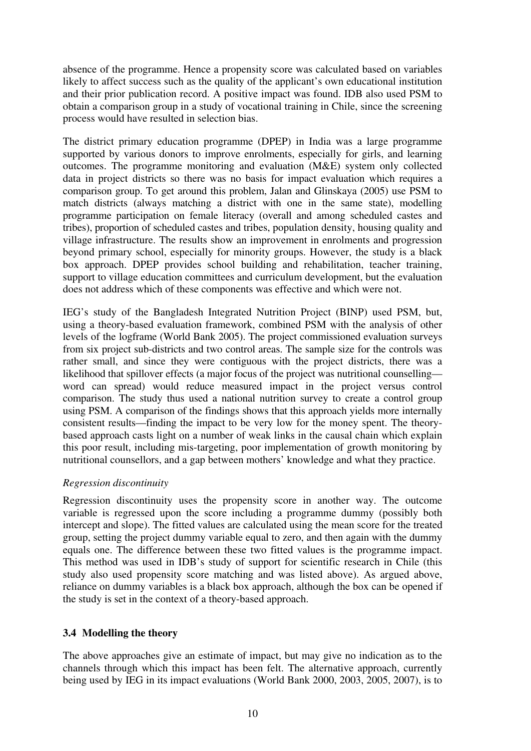absence of the programme. Hence a propensity score was calculated based on variables likely to affect success such as the quality of the applicant's own educational institution and their prior publication record. A positive impact was found. IDB also used PSM to obtain a comparison group in a study of vocational training in Chile, since the screening process would have resulted in selection bias.

The district primary education programme (DPEP) in India was a large programme supported by various donors to improve enrolments, especially for girls, and learning outcomes. The programme monitoring and evaluation (M&E) system only collected data in project districts so there was no basis for impact evaluation which requires a comparison group. To get around this problem, Jalan and Glinskaya (2005) use PSM to match districts (always matching a district with one in the same state), modelling programme participation on female literacy (overall and among scheduled castes and tribes), proportion of scheduled castes and tribes, population density, housing quality and village infrastructure. The results show an improvement in enrolments and progression beyond primary school, especially for minority groups. However, the study is a black box approach. DPEP provides school building and rehabilitation, teacher training, support to village education committees and curriculum development, but the evaluation does not address which of these components was effective and which were not.

IEG's study of the Bangladesh Integrated Nutrition Project (BINP) used PSM, but, using a theory-based evaluation framework, combined PSM with the analysis of other levels of the logframe (World Bank 2005). The project commissioned evaluation surveys from six project sub-districts and two control areas. The sample size for the controls was rather small, and since they were contiguous with the project districts, there was a likelihood that spillover effects (a major focus of the project was nutritional counselling word can spread) would reduce measured impact in the project versus control comparison. The study thus used a national nutrition survey to create a control group using PSM. A comparison of the findings shows that this approach yields more internally consistent results—finding the impact to be very low for the money spent. The theorybased approach casts light on a number of weak links in the causal chain which explain this poor result, including mis-targeting, poor implementation of growth monitoring by nutritional counsellors, and a gap between mothers' knowledge and what they practice.

#### *Regression discontinuity*

Regression discontinuity uses the propensity score in another way. The outcome variable is regressed upon the score including a programme dummy (possibly both intercept and slope). The fitted values are calculated using the mean score for the treated group, setting the project dummy variable equal to zero, and then again with the dummy equals one. The difference between these two fitted values is the programme impact. This method was used in IDB's study of support for scientific research in Chile (this study also used propensity score matching and was listed above). As argued above, reliance on dummy variables is a black box approach, although the box can be opened if the study is set in the context of a theory-based approach.

#### **3.4 Modelling the theory**

The above approaches give an estimate of impact, but may give no indication as to the channels through which this impact has been felt. The alternative approach, currently being used by IEG in its impact evaluations (World Bank 2000, 2003, 2005, 2007), is to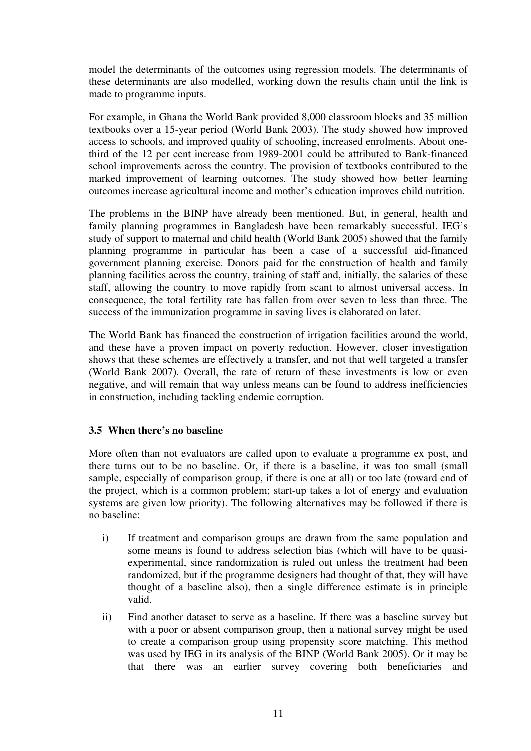model the determinants of the outcomes using regression models. The determinants of these determinants are also modelled, working down the results chain until the link is made to programme inputs.

For example, in Ghana the World Bank provided 8,000 classroom blocks and 35 million textbooks over a 15-year period (World Bank 2003). The study showed how improved access to schools, and improved quality of schooling, increased enrolments. About onethird of the 12 per cent increase from 1989-2001 could be attributed to Bank-financed school improvements across the country. The provision of textbooks contributed to the marked improvement of learning outcomes. The study showed how better learning outcomes increase agricultural income and mother's education improves child nutrition.

The problems in the BINP have already been mentioned. But, in general, health and family planning programmes in Bangladesh have been remarkably successful. IEG's study of support to maternal and child health (World Bank 2005) showed that the family planning programme in particular has been a case of a successful aid-financed government planning exercise. Donors paid for the construction of health and family planning facilities across the country, training of staff and, initially, the salaries of these staff, allowing the country to move rapidly from scant to almost universal access. In consequence, the total fertility rate has fallen from over seven to less than three. The success of the immunization programme in saving lives is elaborated on later.

The World Bank has financed the construction of irrigation facilities around the world, and these have a proven impact on poverty reduction. However, closer investigation shows that these schemes are effectively a transfer, and not that well targeted a transfer (World Bank 2007). Overall, the rate of return of these investments is low or even negative, and will remain that way unless means can be found to address inefficiencies in construction, including tackling endemic corruption.

## **3.5 When there's no baseline**

More often than not evaluators are called upon to evaluate a programme ex post, and there turns out to be no baseline. Or, if there is a baseline, it was too small (small sample, especially of comparison group, if there is one at all) or too late (toward end of the project, which is a common problem; start-up takes a lot of energy and evaluation systems are given low priority). The following alternatives may be followed if there is no baseline:

- i) If treatment and comparison groups are drawn from the same population and some means is found to address selection bias (which will have to be quasiexperimental, since randomization is ruled out unless the treatment had been randomized, but if the programme designers had thought of that, they will have thought of a baseline also), then a single difference estimate is in principle valid.
- ii) Find another dataset to serve as a baseline. If there was a baseline survey but with a poor or absent comparison group, then a national survey might be used to create a comparison group using propensity score matching. This method was used by IEG in its analysis of the BINP (World Bank 2005). Or it may be that there was an earlier survey covering both beneficiaries and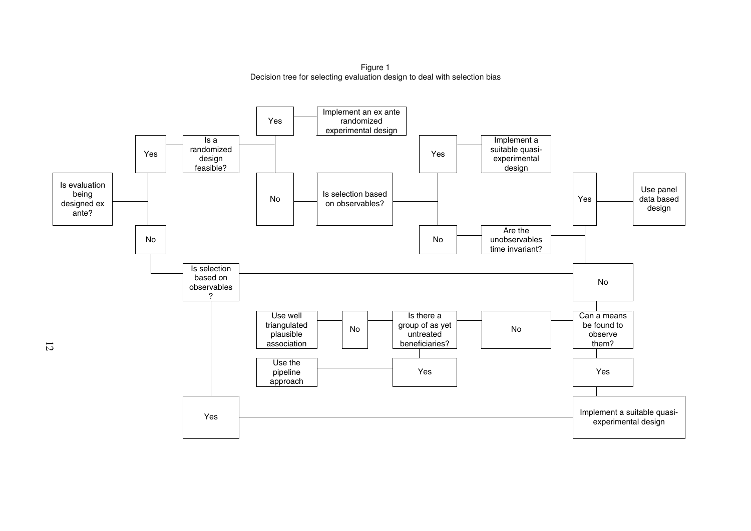Figure 1 Decision tree for selecting evaluation design to deal with selection bias

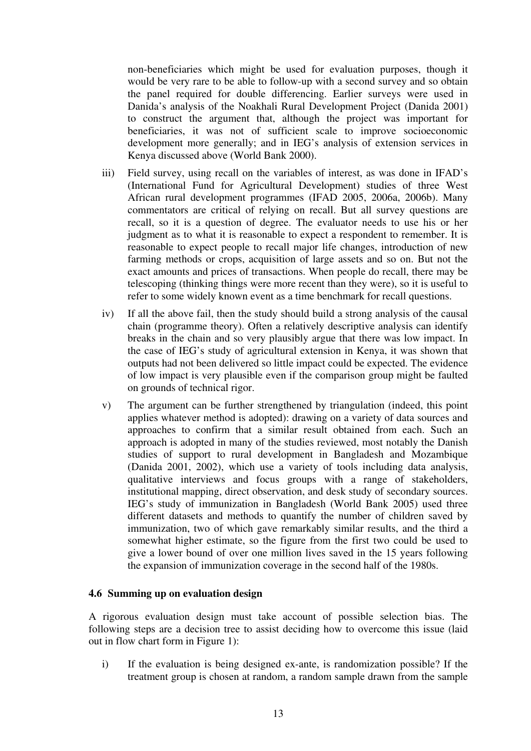non-beneficiaries which might be used for evaluation purposes, though it would be very rare to be able to follow-up with a second survey and so obtain the panel required for double differencing. Earlier surveys were used in Danida's analysis of the Noakhali Rural Development Project (Danida 2001) to construct the argument that, although the project was important for beneficiaries, it was not of sufficient scale to improve socioeconomic development more generally; and in IEG's analysis of extension services in Kenya discussed above (World Bank 2000).

- iii) Field survey, using recall on the variables of interest, as was done in IFAD's (International Fund for Agricultural Development) studies of three West African rural development programmes (IFAD 2005, 2006a, 2006b). Many commentators are critical of relying on recall. But all survey questions are recall, so it is a question of degree. The evaluator needs to use his or her judgment as to what it is reasonable to expect a respondent to remember. It is reasonable to expect people to recall major life changes, introduction of new farming methods or crops, acquisition of large assets and so on. But not the exact amounts and prices of transactions. When people do recall, there may be telescoping (thinking things were more recent than they were), so it is useful to refer to some widely known event as a time benchmark for recall questions.
- iv) If all the above fail, then the study should build a strong analysis of the causal chain (programme theory). Often a relatively descriptive analysis can identify breaks in the chain and so very plausibly argue that there was low impact. In the case of IEG's study of agricultural extension in Kenya, it was shown that outputs had not been delivered so little impact could be expected. The evidence of low impact is very plausible even if the comparison group might be faulted on grounds of technical rigor.
- v) The argument can be further strengthened by triangulation (indeed, this point applies whatever method is adopted): drawing on a variety of data sources and approaches to confirm that a similar result obtained from each. Such an approach is adopted in many of the studies reviewed, most notably the Danish studies of support to rural development in Bangladesh and Mozambique (Danida 2001, 2002), which use a variety of tools including data analysis, qualitative interviews and focus groups with a range of stakeholders, institutional mapping, direct observation, and desk study of secondary sources. IEG's study of immunization in Bangladesh (World Bank 2005) used three different datasets and methods to quantify the number of children saved by immunization, two of which gave remarkably similar results, and the third a somewhat higher estimate, so the figure from the first two could be used to give a lower bound of over one million lives saved in the 15 years following the expansion of immunization coverage in the second half of the 1980s.

#### **4.6 Summing up on evaluation design**

A rigorous evaluation design must take account of possible selection bias. The following steps are a decision tree to assist deciding how to overcome this issue (laid out in flow chart form in Figure 1):

i) If the evaluation is being designed ex-ante, is randomization possible? If the treatment group is chosen at random, a random sample drawn from the sample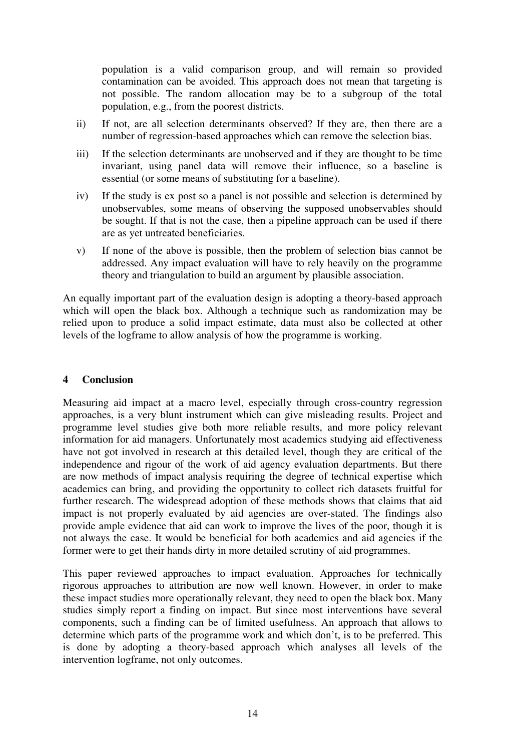population is a valid comparison group, and will remain so provided contamination can be avoided. This approach does not mean that targeting is not possible. The random allocation may be to a subgroup of the total population, e.g., from the poorest districts.

- ii) If not, are all selection determinants observed? If they are, then there are a number of regression-based approaches which can remove the selection bias.
- iii) If the selection determinants are unobserved and if they are thought to be time invariant, using panel data will remove their influence, so a baseline is essential (or some means of substituting for a baseline).
- iv) If the study is ex post so a panel is not possible and selection is determined by unobservables, some means of observing the supposed unobservables should be sought. If that is not the case, then a pipeline approach can be used if there are as yet untreated beneficiaries.
- v) If none of the above is possible, then the problem of selection bias cannot be addressed. Any impact evaluation will have to rely heavily on the programme theory and triangulation to build an argument by plausible association.

An equally important part of the evaluation design is adopting a theory-based approach which will open the black box. Although a technique such as randomization may be relied upon to produce a solid impact estimate, data must also be collected at other levels of the logframe to allow analysis of how the programme is working.

#### **4 Conclusion**

Measuring aid impact at a macro level, especially through cross-country regression approaches, is a very blunt instrument which can give misleading results. Project and programme level studies give both more reliable results, and more policy relevant information for aid managers. Unfortunately most academics studying aid effectiveness have not got involved in research at this detailed level, though they are critical of the independence and rigour of the work of aid agency evaluation departments. But there are now methods of impact analysis requiring the degree of technical expertise which academics can bring, and providing the opportunity to collect rich datasets fruitful for further research. The widespread adoption of these methods shows that claims that aid impact is not properly evaluated by aid agencies are over-stated. The findings also provide ample evidence that aid can work to improve the lives of the poor, though it is not always the case. It would be beneficial for both academics and aid agencies if the former were to get their hands dirty in more detailed scrutiny of aid programmes.

This paper reviewed approaches to impact evaluation. Approaches for technically rigorous approaches to attribution are now well known. However, in order to make these impact studies more operationally relevant, they need to open the black box. Many studies simply report a finding on impact. But since most interventions have several components, such a finding can be of limited usefulness. An approach that allows to determine which parts of the programme work and which don't, is to be preferred. This is done by adopting a theory-based approach which analyses all levels of the intervention logframe, not only outcomes.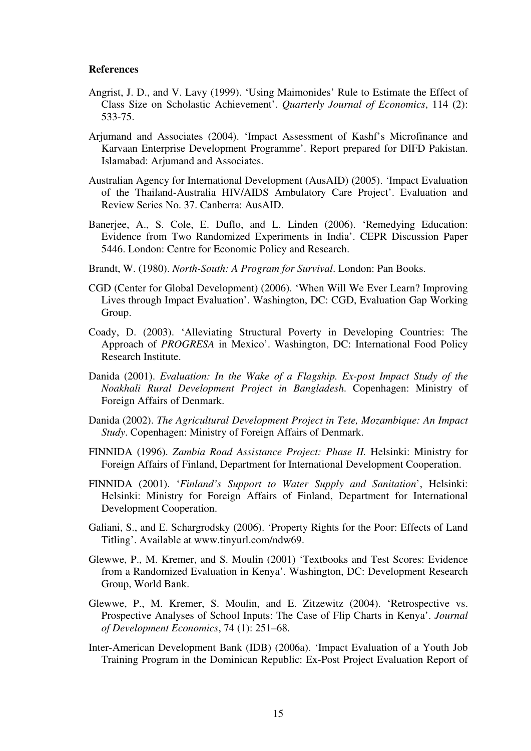#### **References**

- Angrist, J. D., and V. Lavy (1999). 'Using Maimonides' Rule to Estimate the Effect of Class Size on Scholastic Achievement'. *Quarterly Journal of Economics*, 114 (2): 533-75.
- Arjumand and Associates (2004). 'Impact Assessment of Kashf's Microfinance and Karvaan Enterprise Development Programme'. Report prepared for DIFD Pakistan. Islamabad: Arjumand and Associates.
- Australian Agency for International Development (AusAID) (2005). 'Impact Evaluation of the Thailand-Australia HIV/AIDS Ambulatory Care Project'. Evaluation and Review Series No. 37. Canberra: AusAID.
- Banerjee, A., S. Cole, E. Duflo, and L. Linden (2006). 'Remedying Education: Evidence from Two Randomized Experiments in India'. CEPR Discussion Paper 5446. London: Centre for Economic Policy and Research.
- Brandt, W. (1980). *North-South: A Program for Survival*. London: Pan Books.
- CGD (Center for Global Development) (2006). 'When Will We Ever Learn? Improving Lives through Impact Evaluation'. Washington, DC: CGD, Evaluation Gap Working Group.
- Coady, D. (2003). 'Alleviating Structural Poverty in Developing Countries: The Approach of *PROGRESA* in Mexico'. Washington, DC: International Food Policy Research Institute.
- Danida (2001). *Evaluation: In the Wake of a Flagship. Ex-post Impact Study of the Noakhali Rural Development Project in Bangladesh*. Copenhagen: Ministry of Foreign Affairs of Denmark.
- Danida (2002). *The Agricultural Development Project in Tete, Mozambique: An Impact Study*. Copenhagen: Ministry of Foreign Affairs of Denmark.
- FINNIDA (1996). *Zambia Road Assistance Project: Phase II.* Helsinki: Ministry for Foreign Affairs of Finland, Department for International Development Cooperation.
- FINNIDA (2001). '*Finland's Support to Water Supply and Sanitation*', Helsinki: Helsinki: Ministry for Foreign Affairs of Finland, Department for International Development Cooperation.
- Galiani, S., and E. Schargrodsky (2006). 'Property Rights for the Poor: Effects of Land Titling'. Available at www.tinyurl.com/ndw69.
- Glewwe, P., M. Kremer, and S. Moulin (2001) 'Textbooks and Test Scores: Evidence from a Randomized Evaluation in Kenya'. Washington, DC: Development Research Group, World Bank.
- Glewwe, P., M. Kremer, S. Moulin, and E. Zitzewitz (2004). 'Retrospective vs. Prospective Analyses of School Inputs: The Case of Flip Charts in Kenya'. *Journal of Development Economics*, 74 (1): 251–68.
- Inter-American Development Bank (IDB) (2006a). 'Impact Evaluation of a Youth Job Training Program in the Dominican Republic: Ex-Post Project Evaluation Report of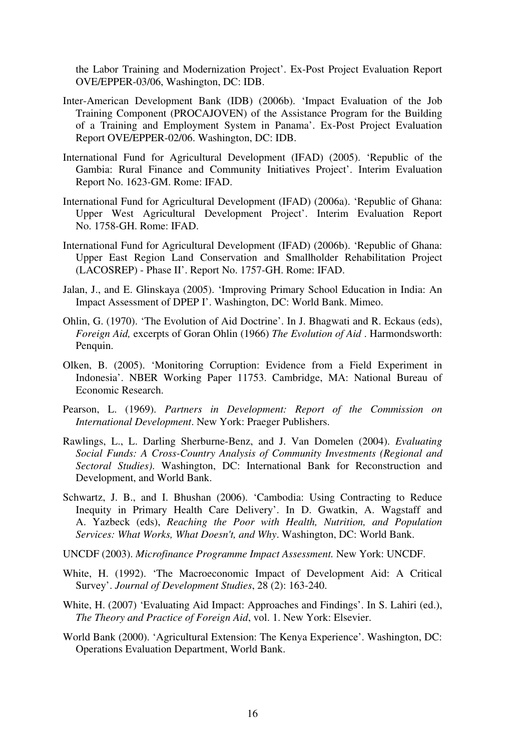the Labor Training and Modernization Project'. Ex-Post Project Evaluation Report OVE/EPPER-03/06, Washington, DC: IDB.

- Inter-American Development Bank (IDB) (2006b). 'Impact Evaluation of the Job Training Component (PROCAJOVEN) of the Assistance Program for the Building of a Training and Employment System in Panama'. Ex-Post Project Evaluation Report OVE/EPPER-02/06. Washington, DC: IDB.
- International Fund for Agricultural Development (IFAD) (2005). 'Republic of the Gambia: Rural Finance and Community Initiatives Project'. Interim Evaluation Report No. 1623-GM. Rome: IFAD.
- International Fund for Agricultural Development (IFAD) (2006a). 'Republic of Ghana: Upper West Agricultural Development Project'. Interim Evaluation Report No. 1758-GH. Rome: IFAD.
- International Fund for Agricultural Development (IFAD) (2006b). 'Republic of Ghana: Upper East Region Land Conservation and Smallholder Rehabilitation Project (LACOSREP) - Phase II'. Report No. 1757-GH. Rome: IFAD.
- Jalan, J., and E. Glinskaya (2005). 'Improving Primary School Education in India: An Impact Assessment of DPEP I'. Washington, DC: World Bank. Mimeo.
- Ohlin, G. (1970). 'The Evolution of Aid Doctrine'. In J. Bhagwati and R. Eckaus (eds), *Foreign Aid,* excerpts of Goran Ohlin (1966) *The Evolution of Aid* . Harmondsworth: Penquin.
- Olken, B. (2005). 'Monitoring Corruption: Evidence from a Field Experiment in Indonesia'. NBER Working Paper 11753. Cambridge, MA: National Bureau of Economic Research.
- Pearson, L. (1969). *Partners in Development: Report of the Commission on International Development*. New York: Praeger Publishers.
- Rawlings, L., L. Darling Sherburne-Benz, and J. Van Domelen (2004). *Evaluating Social Funds: A Cross-Country Analysis of Community Investments (Regional and Sectoral Studies)*. Washington, DC: International Bank for Reconstruction and Development, and World Bank.
- Schwartz, J. B., and I. Bhushan (2006). 'Cambodia: Using Contracting to Reduce Inequity in Primary Health Care Delivery'. In D. Gwatkin, A. Wagstaff and A. Yazbeck (eds), *Reaching the Poor with Health, Nutrition, and Population Services: What Works, What Doesn't, and Why*. Washington, DC: World Bank.
- UNCDF (2003). *Microfinance Programme Impact Assessment.* New York: UNCDF.
- White, H. (1992). 'The Macroeconomic Impact of Development Aid: A Critical Survey'. *Journal of Development Studies*, 28 (2): 163-240.
- White, H. (2007) 'Evaluating Aid Impact: Approaches and Findings'. In S. Lahiri (ed.), *The Theory and Practice of Foreign Aid*, vol. 1. New York: Elsevier.
- World Bank (2000). 'Agricultural Extension: The Kenya Experience'. Washington, DC: Operations Evaluation Department, World Bank.